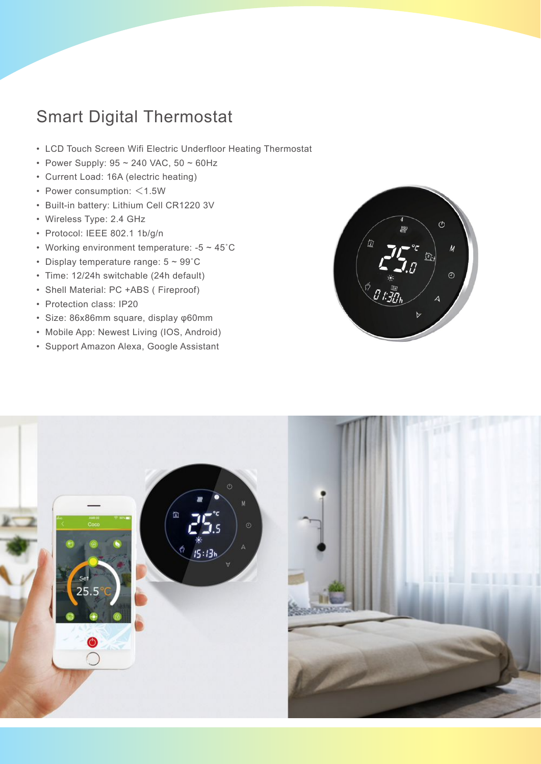## Smart Digital Thermostat

- LCD Touch Screen Wifi Electric Underfloor Heating Thermostat
- Power Supply: 95 ~ 240 VAC, 50 ~ 60Hz
- Current Load: 16A (electric heating)
- Power consumption: <1.5W
- Built-in battery: Lithium Cell CR1220 3V
- Wireless Type: 2.4 GHz
- Protocol: IEEE 802.1 1b/g/n
- Working environment temperature:  $-5 \sim 45^{\circ}$ C
- Display temperature range: 5 ~ 99˚C
- Time: 12/24h switchable (24h default)
- Shell Material: PC +ABS ( Fireproof)
- Protection class: IP20
- Size: 86x86mm square, display φ60mm
- Mobile App: Newest Living (IOS, Android)
- Support Amazon Alexa, Google Assistant



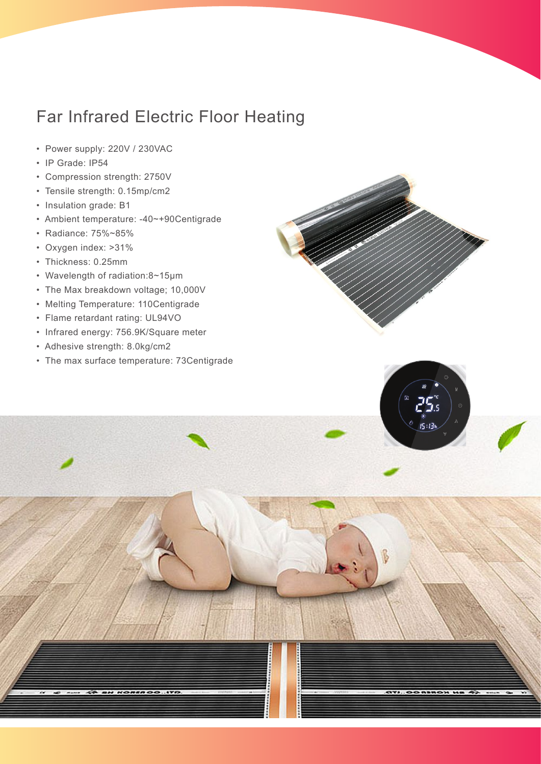## Far Infrared Electric Floor Heating

- Power supply: 220V / 230VAC
- IP Grade: IP54
- Compression strength: 2750V
- Tensile strength: 0.15mp/cm2
- Insulation grade: B1
- Ambient temperature: -40~+90Centigrade
- Radiance: 75%~85%
- Oxygen index: >31%
- Thickness: 0.25mm
- Wavelength of radiation:8~15μm
- The Max breakdown voltage; 10,000V
- Melting Temperature: 110Centigrade
- Flame retardant rating: UL94VO
- Infrared energy: 756.9K/Square meter
- Adhesive strength: 8.0kg/cm2
- The max surface temperature: 73Centigrade





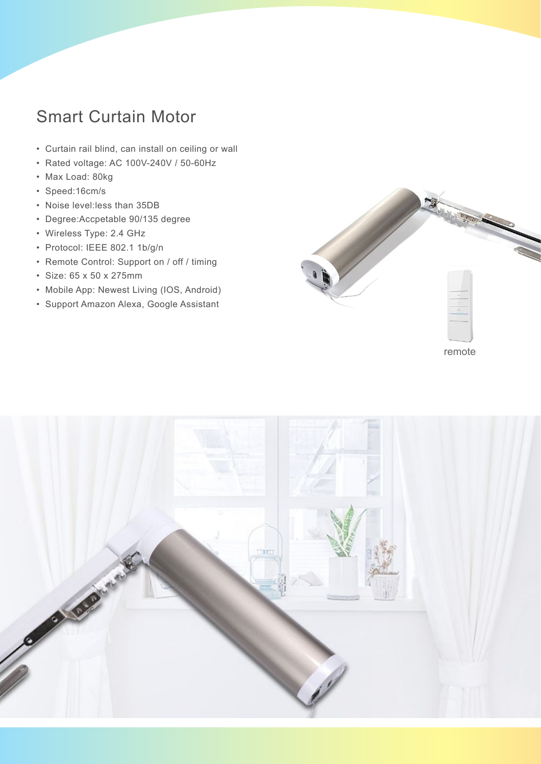## Smart Curtain Motor

- Curtain rail blind, can install on ceiling or wall
- Rated voltage: AC 100V-240V / 50-60Hz
- Max Load: 80kg
- Speed:16cm/s
- Noise level:less than 35DB
- Degree:Accpetable 90/135 degree
- Wireless Type: 2.4 GHz
- Protocol: IEEE 802.1 1b/g/n
- Remote Control: Support on / off / timing
- Size: 65 x 50 x 275mm
- Mobile App: Newest Living (IOS, Android)
- Support Amazon Alexa, Google Assistant



remote